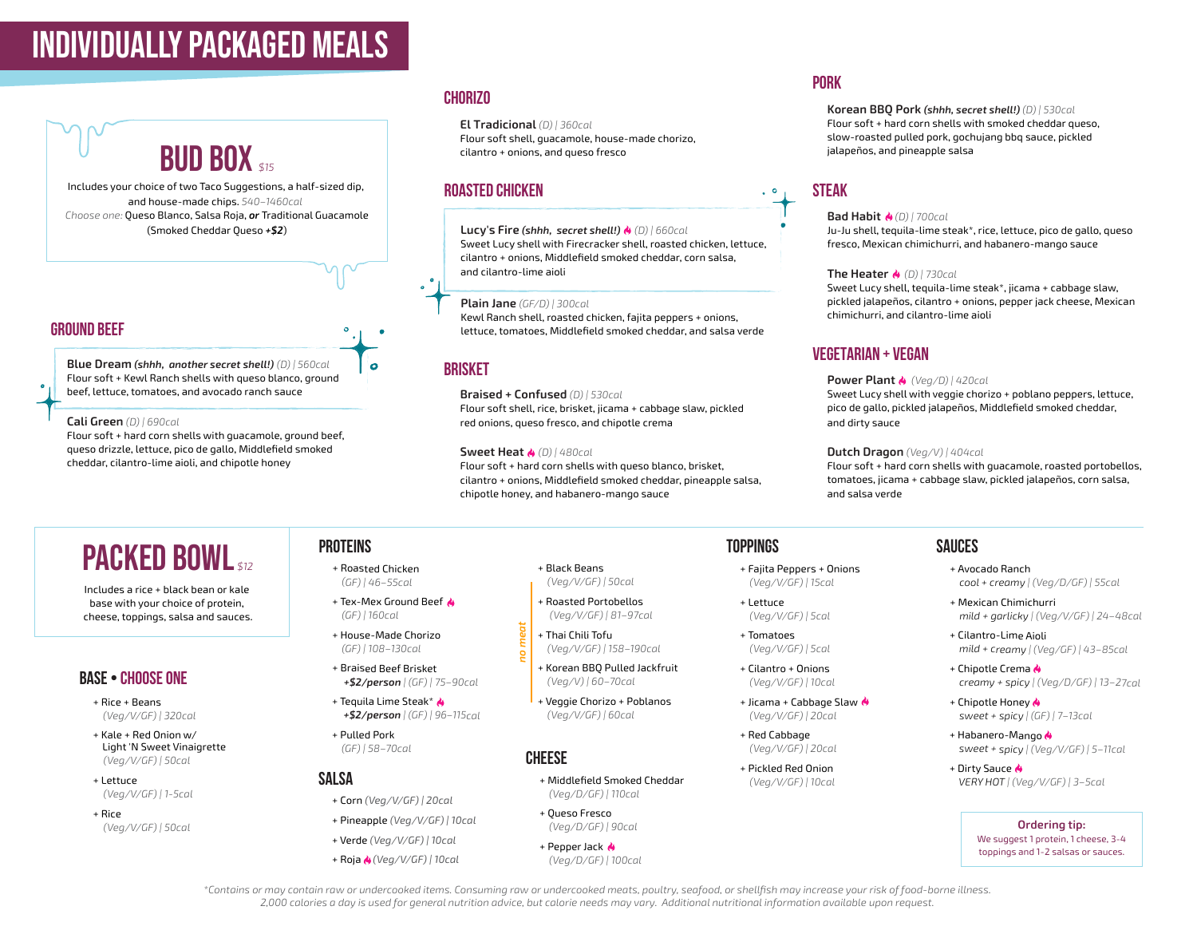# individually packaged meals

**BUD BOX** \$15 Includes your choice of two Taco Suggestions, a half-sized dip, and house-made chips. *540–1460cal*

*Choose one:* Queso Blanco, Salsa Roja, *or* Traditional Guacamole (Smoked Cheddar Queso *+\$2*)

#### **ground beef**

**Blue Dream** *(shhh, another secret shell!) (D) | 560cal* Flour soft + Kewl Ranch shells with queso blanco, ground beef, lettuce, tomatoes, and avocado ranch sauce

#### **Cali Green** *(D) | 690cal*

Flour soft + hard corn shells with guacamole, ground beef, queso drizzle, lettuce, pico de gallo, Middlefield smoked cheddar, cilantro-lime aioli, and chipotle honey

#### **Chorizo**

**El Tradicional** *(D) | 360cal* Flour soft shell, guacamole, house-made chorizo, cilantro + onions, and queso fresco

#### **Roasted Chicken**

**Lucy's Fire** *(shhh, secret shell!) (D) | 660cal* Sweet Lucy shell with Firecracker shell, roasted chicken, lettuce, cilantro + onions, Middlefield smoked cheddar, corn salsa, and cilantro-lime aioli

#### **Plain Jane** *(GF/D) | 300cal*

Kewl Ranch shell, roasted chicken, fajita peppers + onions, lettuce, tomatoes, Middlefield smoked cheddar, and salsa verde

#### **brisket**

**Braised + Confused** *(D) | 530cal* Flour soft shell, rice, brisket, jicama + cabbage slaw, pickled red onions, queso fresco, and chipotle crema

#### **Sweet Heat** *(D) | 480cal*

*no meat*

g

Flour soft + hard corn shells with queso blanco, brisket, cilantro + onions, Middlefield smoked cheddar, pineapple salsa, chipotle honey, and habanero-mango sauce

#### **pork**

**Korean BBQ Pork** *(shhh, secret shell!) (D) | 530cal* Flour soft + hard corn shells with smoked cheddar queso, slow-roasted pulled pork, gochujang bbq sauce, pickled jalapeños, and pineapple salsa

#### **steak**

#### **Bad Habit** *(D) | 700cal*

Ju-Ju shell, tequila-lime steak\*, rice, lettuce, pico de gallo, queso fresco, Mexican chimichurri, and habanero-mango sauce

#### **The Heater** *(D) | 730cal*

Sweet Lucy shell, tequila-lime steak\*, jicama + cabbage slaw, pickled jalapeños, cilantro + onions, pepper jack cheese, Mexican chimichurri, and cilantro-lime aioli

#### **vegetarian + vegan**

#### **Power Plant** *(Veg/D) | 420cal*

Sweet Lucy shell with veggie chorizo + poblano peppers, lettuce, pico de gallo, pickled jalapeños, Middlefield smoked cheddar, and dirty sauce

#### **Dutch Dragon** *(Veg/V) | 404cal*

Flour soft + hard corn shells with guacamole, roasted portobellos, tomatoes, jicama + cabbage slaw, pickled jalapeños, corn salsa, and salsa verde

# **PACKED BOWL**

Includes a rice + black bean or kale base with your choice of protein, cheese, toppings, salsa and sauces.

#### **BASE • Choose one**

- + Rice + Beans  *(Veg/V/GF) | 320cal*
- + Kale + Red Onion w/ Light 'N Sweet Vinaigrette  *(Veg/V/GF) | 50cal*
- + Lettuce  *(Veg/V/GF) | 1-5cal*
- + Rice  *(Veg/V/GF) | 50cal*

## **ProTEinS**

- + Roasted Chicken  *(GF) | 46–55cal*
- + Tex-Mex Ground Beef  $\triangle$  *(GF) | 160cal*
- + House-Made Chorizo  *(GF) | 108–130cal*
- + Braised Beef Brisket  *+\$2/person | (GF) | 75–90cal*
- + Tequila Lime Steak\*  *+\$2/person | (GF) | 96–115cal*
- + Pulled Pork  *(GF) | 58–70cal*

#### **SALSA**

- + Corn *(Veg/V/GF) | 20cal*
- + Pineapple *(Veg/V/GF) | 10cal*
- + Verde *(Veg/V/GF) | 10cal*
- + Roja *(Veg/V/GF) | 10cal*
- + Black Beans  *(Veg/V/GF) | 50cal*
- + Roasted Portobellos  *(Veg/V/GF) | 81–97cal*
- + Thai Chili Tofu  *(Veg/V/GF) | 158–190cal*
- + Korean BBQ Pulled Jackfruit  *(Veg/V) | 60–70cal*
- + Veggie Chorizo + Poblanos  *(Veg/V/GF) | 60cal*

#### **CHEESE**

- + Middlefield Smoked Cheddar  *(Veg/D/GF) | 110cal*
- + Queso Fresco  *(Veg/D/GF) | 90cal*
- + Pepper Jack  *(Veg/D/GF) | 100cal*

#### **TopPInGs**

- + Fajita Peppers + Onions  *(Veg/V/GF) | 15cal*
- + Lettuce  *(Veg/V/GF) | 5cal*
	- + Tomatoes  *(Veg/V/GF) | 5cal*
	- + Cilantro + Onions  *(Veg/V/GF) | 10cal*
	- + Jicama + Cabbage Slaw  *(Veg/V/GF) | 20cal*
	- + Red Cabbage  *(Veg/V/GF) | 20cal*
	- + Pickled Red Onion  *(Veg/V/GF) | 10cal*

#### **SAUCES**

- + Avocado Ranch  *cool + creamy | (Veg/D/GF) | 55cal*
- + Mexican Chimichurri  *mild + garlicky | (Veg/V/GF) | 24–48cal*
- + Cilantro-Lime Aioli  *mild + creamy | (Veg/GF) | 43–85cal*
- + Chipotle Crema  *creamy + spicy | (Veg/D/GF) | 13–27cal*
- + Chipotle Honey  *sweet + spicy | (GF) | 7–13cal*
- + Habanero-Mango  *sweet + spicy | (Veg/V/GF) | 5–11cal*
- + Dirty Sauce &  *VERY HOT | (Veg/V/GF) | 3–5cal*

**Ordering tip:** We suggest 1 protein, 1 cheese, 3-4 toppings and 1-2 salsas or sauces.

*\*Contains or may contain raw or undercooked items. Consuming raw or undercooked meats, poultry, seafood, or shellfish may increase your risk of food-borne illness. 2,000 calories a day is used for general nutrition advice, but calorie needs may vary. Additional nutritional information available upon request.*